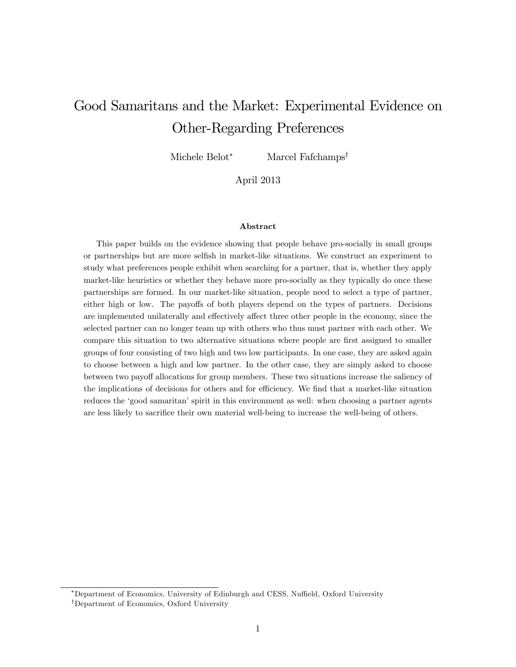# Good Samaritans and the Market: Experimental Evidence on Other-Regarding Preferences

Michele Belot\* Marcel Fafchamps<sup>†</sup>

April 2013

#### Abstract

This paper builds on the evidence showing that people behave pro-socially in small groups or partnerships but are more selÖsh in market-like situations. We construct an experiment to study what preferences people exhibit when searching for a partner, that is, whether they apply market-like heuristics or whether they behave more pro-socially as they typically do once these partnerships are formed. In our market-like situation, people need to select a type of partner, either high or low. The payoffs of both players depend on the types of partners. Decisions are implemented unilaterally and effectively affect three other people in the economy, since the selected partner can no longer team up with others who thus must partner with each other. We compare this situation to two alternative situations where people are first assigned to smaller groups of four consisting of two high and two low participants. In one case, they are asked again to choose between a high and low partner. In the other case, they are simply asked to choose between two payoff allocations for group members. These two situations increase the saliency of the implications of decisions for others and for efficiency. We find that a market-like situation reduces the 'good samaritan' spirit in this environment as well: when choosing a partner agents are less likely to sacrifice their own material well-being to increase the well-being of others.

<sup>\*</sup>Department of Economics, University of Edinburgh and CESS, Nuffield, Oxford University <sup>†</sup>Department of Economics, Oxford University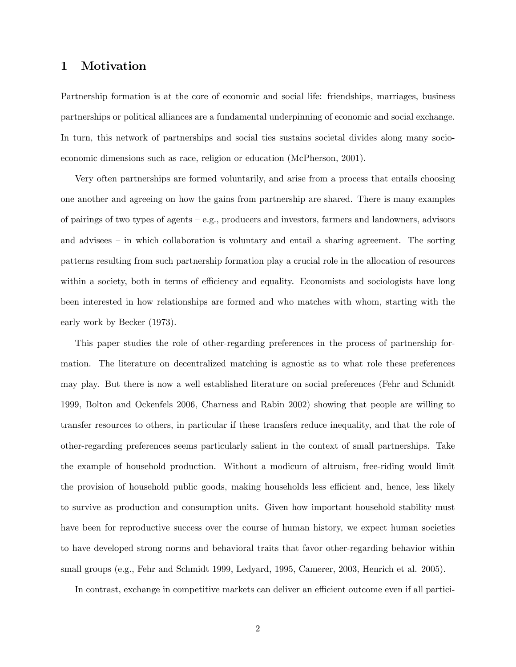### 1 Motivation

Partnership formation is at the core of economic and social life: friendships, marriages, business partnerships or political alliances are a fundamental underpinning of economic and social exchange. In turn, this network of partnerships and social ties sustains societal divides along many socioeconomic dimensions such as race, religion or education (McPherson, 2001).

Very often partnerships are formed voluntarily, and arise from a process that entails choosing one another and agreeing on how the gains from partnership are shared. There is many examples of pairings of two types of agents  $-e.g.,$  producers and investors, farmers and landowners, advisors and advisees  $\overline{-}$  in which collaboration is voluntary and entail a sharing agreement. The sorting patterns resulting from such partnership formation play a crucial role in the allocation of resources within a society, both in terms of efficiency and equality. Economists and sociologists have long been interested in how relationships are formed and who matches with whom, starting with the early work by Becker (1973).

This paper studies the role of other-regarding preferences in the process of partnership formation. The literature on decentralized matching is agnostic as to what role these preferences may play. But there is now a well established literature on social preferences (Fehr and Schmidt 1999, Bolton and Ockenfels 2006, Charness and Rabin 2002) showing that people are willing to transfer resources to others, in particular if these transfers reduce inequality, and that the role of other-regarding preferences seems particularly salient in the context of small partnerships. Take the example of household production. Without a modicum of altruism, free-riding would limit the provision of household public goods, making households less efficient and, hence, less likely to survive as production and consumption units. Given how important household stability must have been for reproductive success over the course of human history, we expect human societies to have developed strong norms and behavioral traits that favor other-regarding behavior within small groups (e.g., Fehr and Schmidt 1999, Ledyard, 1995, Camerer, 2003, Henrich et al. 2005).

In contrast, exchange in competitive markets can deliver an efficient outcome even if all partici-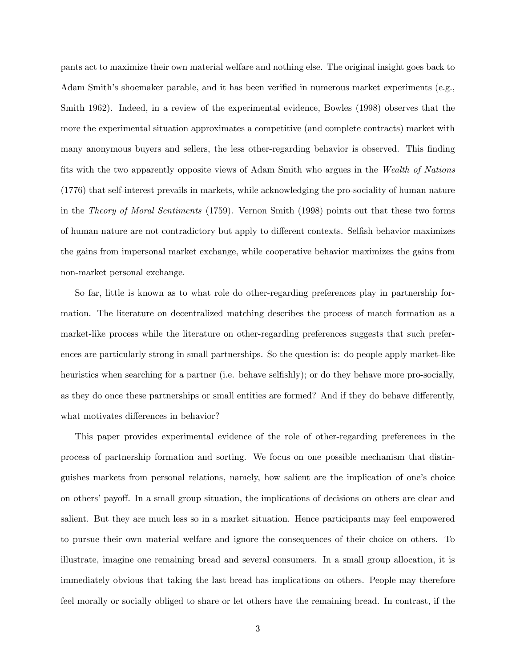pants act to maximize their own material welfare and nothing else. The original insight goes back to Adam Smith's shoemaker parable, and it has been verified in numerous market experiments (e.g., Smith 1962). Indeed, in a review of the experimental evidence, Bowles (1998) observes that the more the experimental situation approximates a competitive (and complete contracts) market with many anonymous buyers and sellers, the less other-regarding behavior is observed. This finding fits with the two apparently opposite views of Adam Smith who argues in the Wealth of Nations (1776) that self-interest prevails in markets, while acknowledging the pro-sociality of human nature in the Theory of Moral Sentiments (1759). Vernon Smith (1998) points out that these two forms of human nature are not contradictory but apply to different contexts. Selfish behavior maximizes the gains from impersonal market exchange, while cooperative behavior maximizes the gains from non-market personal exchange.

So far, little is known as to what role do other-regarding preferences play in partnership formation. The literature on decentralized matching describes the process of match formation as a market-like process while the literature on other-regarding preferences suggests that such preferences are particularly strong in small partnerships. So the question is: do people apply market-like heuristics when searching for a partner (i.e. behave selfishly); or do they behave more pro-socially, as they do once these partnerships or small entities are formed? And if they do behave differently, what motivates differences in behavior?

This paper provides experimental evidence of the role of other-regarding preferences in the process of partnership formation and sorting. We focus on one possible mechanism that distinguishes markets from personal relations, namely, how salient are the implication of oneís choice on others' payoff. In a small group situation, the implications of decisions on others are clear and salient. But they are much less so in a market situation. Hence participants may feel empowered to pursue their own material welfare and ignore the consequences of their choice on others. To illustrate, imagine one remaining bread and several consumers. In a small group allocation, it is immediately obvious that taking the last bread has implications on others. People may therefore feel morally or socially obliged to share or let others have the remaining bread. In contrast, if the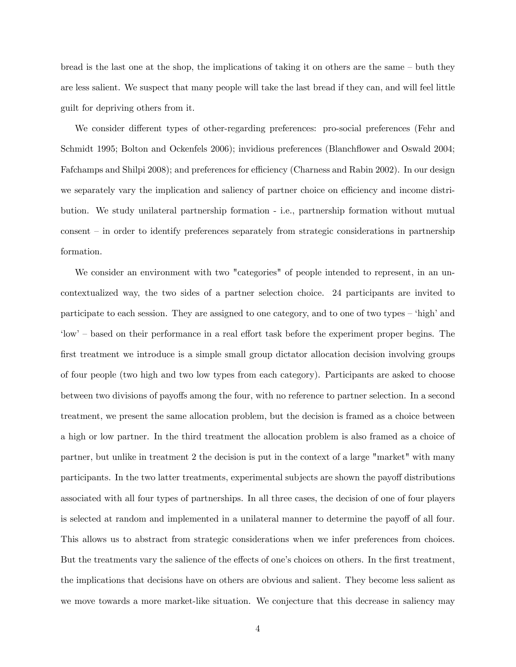bread is the last one at the shop, the implications of taking it on others are the same  $-\text{buth they}$ are less salient. We suspect that many people will take the last bread if they can, and will feel little guilt for depriving others from it.

We consider different types of other-regarding preferences: pro-social preferences (Fehr and Schmidt 1995; Bolton and Ockenfels 2006); invidious preferences (Blanchflower and Oswald 2004; Fafchamps and Shilpi 2008); and preferences for efficiency (Charness and Rabin 2002). In our design we separately vary the implication and saliency of partner choice on efficiency and income distribution. We study unilateral partnership formation - i.e., partnership formation without mutual  $\text{constant}$  – in order to identify preferences separately from strategic considerations in partnership formation.

We consider an environment with two "categories" of people intended to represent, in an uncontextualized way, the two sides of a partner selection choice. 24 participants are invited to participate to each session. They are assigned to one category, and to one of two types – 'high' and 'low' – based on their performance in a real effort task before the experiment proper begins. The first treatment we introduce is a simple small group dictator allocation decision involving groups of four people (two high and two low types from each category). Participants are asked to choose between two divisions of payoffs among the four, with no reference to partner selection. In a second treatment, we present the same allocation problem, but the decision is framed as a choice between a high or low partner. In the third treatment the allocation problem is also framed as a choice of partner, but unlike in treatment 2 the decision is put in the context of a large "market" with many participants. In the two latter treatments, experimental subjects are shown the payoff distributions associated with all four types of partnerships. In all three cases, the decision of one of four players is selected at random and implemented in a unilateral manner to determine the payoff of all four. This allows us to abstract from strategic considerations when we infer preferences from choices. But the treatments vary the salience of the effects of one's choices on others. In the first treatment, the implications that decisions have on others are obvious and salient. They become less salient as we move towards a more market-like situation. We conjecture that this decrease in saliency may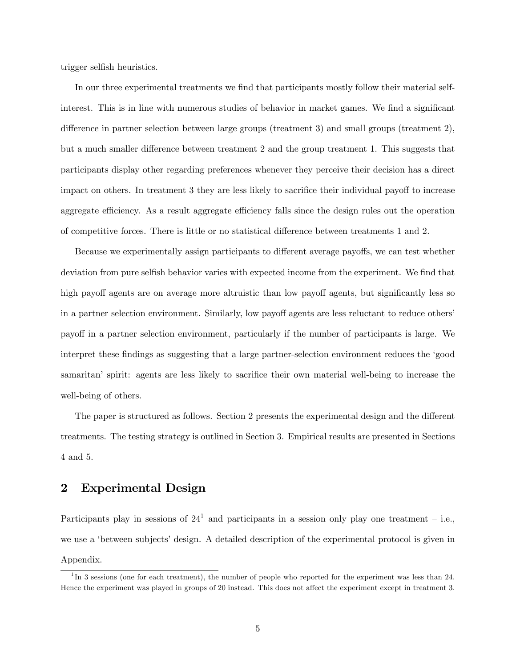trigger selfish heuristics.

In our three experimental treatments we find that participants mostly follow their material selfinterest. This is in line with numerous studies of behavior in market games. We find a significant difference in partner selection between large groups (treatment 3) and small groups (treatment  $2$ ), but a much smaller difference between treatment 2 and the group treatment 1. This suggests that participants display other regarding preferences whenever they perceive their decision has a direct impact on others. In treatment 3 they are less likely to sacrifice their individual payoff to increase aggregate efficiency. As a result aggregate efficiency falls since the design rules out the operation of competitive forces. There is little or no statistical difference between treatments 1 and 2.

Because we experimentally assign participants to different average payoffs, we can test whether deviation from pure selfish behavior varies with expected income from the experiment. We find that high payoff agents are on average more altruistic than low payoff agents, but significantly less so in a partner selection environment. Similarly, low payoff agents are less reluctant to reduce others' payoff in a partner selection environment, particularly if the number of participants is large. We interpret these findings as suggesting that a large partner-selection environment reduces the 'good samaritan' spirit: agents are less likely to sacrifice their own material well-being to increase the well-being of others.

The paper is structured as follows. Section 2 presents the experimental design and the different treatments. The testing strategy is outlined in Section 3. Empirical results are presented in Sections 4 and 5.

# 2 Experimental Design

Participants play in sessions of  $24<sup>1</sup>$  and participants in a session only play one treatment – i.e., we use a 'between subjects' design. A detailed description of the experimental protocol is given in Appendix.

<sup>&</sup>lt;sup>1</sup>In 3 sessions (one for each treatment), the number of people who reported for the experiment was less than 24. Hence the experiment was played in groups of 20 instead. This does not affect the experiment except in treatment 3.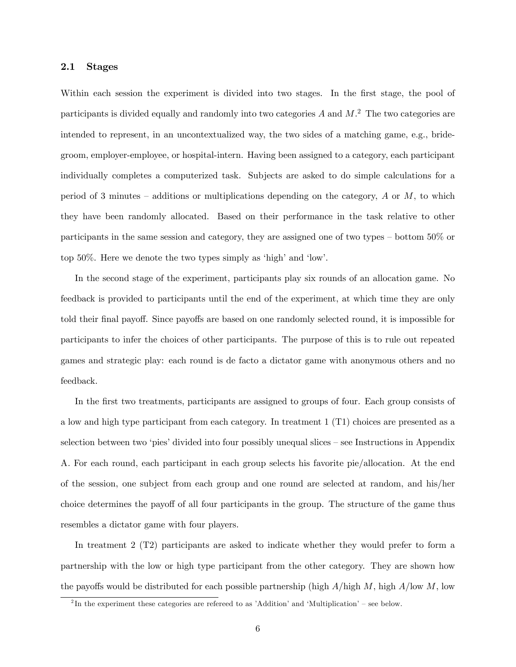### 2.1 Stages

Within each session the experiment is divided into two stages. In the first stage, the pool of participants is divided equally and randomly into two categories  $A$  and  $M$ .<sup>2</sup> The two categories are intended to represent, in an uncontextualized way, the two sides of a matching game, e.g., bridegroom, employer-employee, or hospital-intern. Having been assigned to a category, each participant individually completes a computerized task. Subjects are asked to do simple calculations for a period of 3 minutes – additions or multiplications depending on the category,  $A$  or  $M$ , to which they have been randomly allocated. Based on their performance in the task relative to other participants in the same session and category, they are assigned one of two types – bottom  $50\%$  or top  $50\%$ . Here we denote the two types simply as 'high' and 'low'.

In the second stage of the experiment, participants play six rounds of an allocation game. No feedback is provided to participants until the end of the experiment, at which time they are only told their final payoff. Since payoffs are based on one randomly selected round, it is impossible for participants to infer the choices of other participants. The purpose of this is to rule out repeated games and strategic play: each round is de facto a dictator game with anonymous others and no feedback.

In the first two treatments, participants are assigned to groups of four. Each group consists of a low and high type participant from each category. In treatment 1 (T1) choices are presented as a selection between two 'pies' divided into four possibly unequal slices  $-$  see Instructions in Appendix A. For each round, each participant in each group selects his favorite pie/allocation. At the end of the session, one subject from each group and one round are selected at random, and his/her choice determines the payoff of all four participants in the group. The structure of the game thus resembles a dictator game with four players.

In treatment 2 (T2) participants are asked to indicate whether they would prefer to form a partnership with the low or high type participant from the other category. They are shown how the payoffs would be distributed for each possible partnership (high  $A/\text{high } M$ , high  $A/\text{low } M$ , low

<sup>&</sup>lt;sup>2</sup>In the experiment these categories are refereed to as 'Addition' and 'Multiplication' – see below.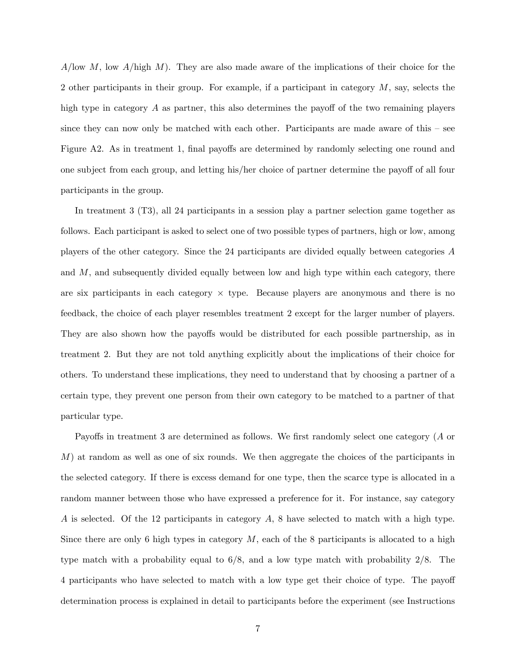$A/\text{low }M$ , low  $A/\text{high }M$ ). They are also made aware of the implications of their choice for the 2 other participants in their group. For example, if a participant in category  $M$ , say, selects the high type in category  $\tilde{A}$  as partner, this also determines the payoff of the two remaining players since they can now only be matched with each other. Participants are made aware of this  $-\text{see}$ Figure A2. As in treatment 1, final payoffs are determined by randomly selecting one round and one subject from each group, and letting his/her choice of partner determine the payoff of all four participants in the group.

In treatment 3 (T3), all 24 participants in a session play a partner selection game together as follows. Each participant is asked to select one of two possible types of partners, high or low, among players of the other category. Since the 24 participants are divided equally between categories A and  $M$ , and subsequently divided equally between low and high type within each category, there are six participants in each category  $\times$  type. Because players are anonymous and there is no feedback, the choice of each player resembles treatment 2 except for the larger number of players. They are also shown how the payoffs would be distributed for each possible partnership, as in treatment 2. But they are not told anything explicitly about the implications of their choice for others. To understand these implications, they need to understand that by choosing a partner of a certain type, they prevent one person from their own category to be matched to a partner of that particular type.

Payoffs in treatment 3 are determined as follows. We first randomly select one category (A or  $M$ ) at random as well as one of six rounds. We then aggregate the choices of the participants in the selected category. If there is excess demand for one type, then the scarce type is allocated in a random manner between those who have expressed a preference for it. For instance, say category A is selected. Of the 12 participants in category A, 8 have selected to match with a high type. Since there are only 6 high types in category  $M$ , each of the 8 participants is allocated to a high type match with a probability equal to 6/8, and a low type match with probability 2/8. The 4 participants who have selected to match with a low type get their choice of type. The payoff determination process is explained in detail to participants before the experiment (see Instructions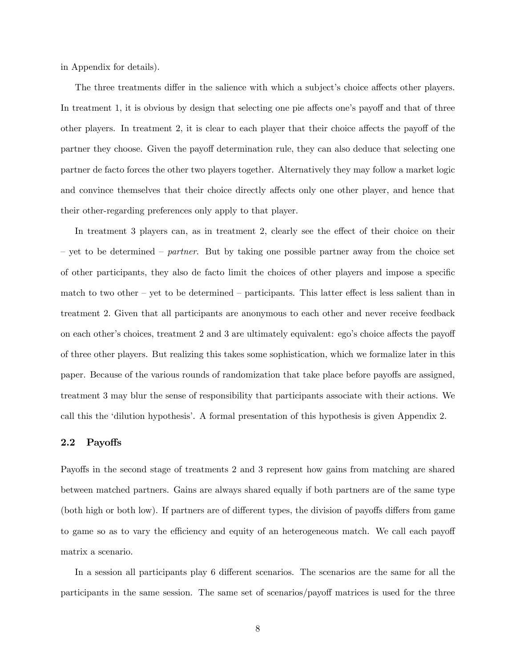in Appendix for details).

The three treatments differ in the salience with which a subject's choice affects other players. In treatment 1, it is obvious by design that selecting one pie affects one's payoff and that of three other players. In treatment 2, it is clear to each player that their choice affects the payoff of the partner they choose. Given the payoff determination rule, they can also deduce that selecting one partner de facto forces the other two players together. Alternatively they may follow a market logic and convince themselves that their choice directly affects only one other player, and hence that their other-regarding preferences only apply to that player.

In treatment 3 players can, as in treatment 2, clearly see the effect of their choice on their  $\alpha$  yet to be determined  $\alpha$  partner. But by taking one possible partner away from the choice set of other participants, they also de facto limit the choices of other players and impose a specific match to two other  $-$  yet to be determined  $-$  participants. This latter effect is less salient than in treatment 2. Given that all participants are anonymous to each other and never receive feedback on each other's choices, treatment 2 and 3 are ultimately equivalent: ego's choice affects the payoff of three other players. But realizing this takes some sophistication, which we formalize later in this paper. Because of the various rounds of randomization that take place before payoffs are assigned, treatment 3 may blur the sense of responsibility that participants associate with their actions. We call this the ëdilution hypothesisí. A formal presentation of this hypothesis is given Appendix 2.

#### 2.2 Payoffs

Payoffs in the second stage of treatments 2 and 3 represent how gains from matching are shared between matched partners. Gains are always shared equally if both partners are of the same type (both high or both low). If partners are of different types, the division of payoffs differs from game to game so as to vary the efficiency and equity of an heterogeneous match. We call each payoff matrix a scenario.

In a session all participants play 6 different scenarios. The scenarios are the same for all the participants in the same session. The same set of scenarios/payoff matrices is used for the three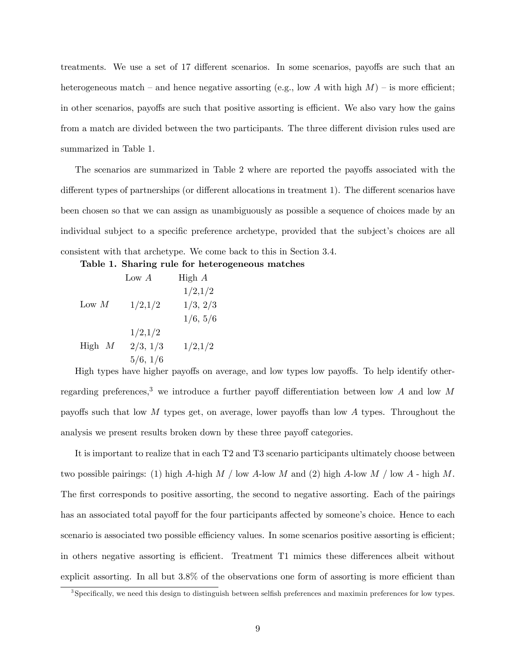treatments. We use a set of 17 different scenarios. In some scenarios, payoffs are such that an heterogeneous match – and hence negative assorting (e.g., low A with high  $M$ ) – is more efficient; in other scenarios, payoffs are such that positive assorting is efficient. We also vary how the gains from a match are divided between the two participants. The three different division rules used are summarized in Table 1.

The scenarios are summarized in Table 2 where are reported the payoffs associated with the different types of partnerships (or different allocations in treatment 1). The different scenarios have been chosen so that we can assign as unambiguously as possible a sequence of choices made by an individual subject to a specific preference archetype, provided that the subject's choices are all consistent with that archetype. We come back to this in Section 3.4.

Table 1. Sharing rule for heterogeneous matches

|          | Low $A$  | High $A$ |
|----------|----------|----------|
|          |          | 1/2,1/2  |
| Low $M$  | 1/2,1/2  | 1/3, 2/3 |
|          |          | 1/6, 5/6 |
| High $M$ | 1/2,1/2  |          |
|          | 2/3, 1/3 | 1/2,1/2  |
|          | 5/6, 1/6 |          |

High types have higher payoffs on average, and low types low payoffs. To help identify otherregarding preferences,<sup>3</sup> we introduce a further payoff differentiation between low A and low M payoffs such that low  $M$  types get, on average, lower payoffs than low  $A$  types. Throughout the analysis we present results broken down by these three payoff categories.

It is important to realize that in each T2 and T3 scenario participants ultimately choose between two possible pairings: (1) high A-high M / low A-low M and (2) high A-low M / low A - high M. The first corresponds to positive assorting, the second to negative assorting. Each of the pairings has an associated total payoff for the four participants affected by someone's choice. Hence to each scenario is associated two possible efficiency values. In some scenarios positive assorting is efficient; in others negative assorting is efficient. Treatment T1 mimics these differences albeit without explicit assorting. In all but  $3.8\%$  of the observations one form of assorting is more efficient than

<sup>&</sup>lt;sup>3</sup>Specifically, we need this design to distinguish between selfish preferences and maximin preferences for low types.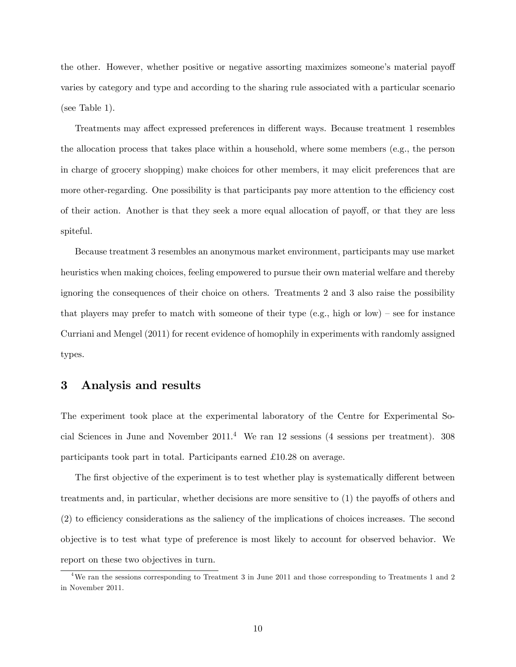the other. However, whether positive or negative assorting maximizes someone's material payoff varies by category and type and according to the sharing rule associated with a particular scenario (see Table 1).

Treatments may affect expressed preferences in different ways. Because treatment 1 resembles the allocation process that takes place within a household, where some members (e.g., the person in charge of grocery shopping) make choices for other members, it may elicit preferences that are more other-regarding. One possibility is that participants pay more attention to the efficiency cost of their action. Another is that they seek a more equal allocation of payoff, or that they are less spiteful.

Because treatment 3 resembles an anonymous market environment, participants may use market heuristics when making choices, feeling empowered to pursue their own material welfare and thereby ignoring the consequences of their choice on others. Treatments 2 and 3 also raise the possibility that players may prefer to match with someone of their type (e.g., high or low) – see for instance Curriani and Mengel (2011) for recent evidence of homophily in experiments with randomly assigned types.

## 3 Analysis and results

The experiment took place at the experimental laboratory of the Centre for Experimental Social Sciences in June and November  $2011<sup>4</sup>$  We ran 12 sessions (4 sessions per treatment). 308 participants took part in total. Participants earned  $\pounds 10.28$  on average.

The first objective of the experiment is to test whether play is systematically different between treatments and, in particular, whether decisions are more sensitive to  $(1)$  the payoffs of others and (2) to efficiency considerations as the saliency of the implications of choices increases. The second objective is to test what type of preference is most likely to account for observed behavior. We report on these two objectives in turn.

 $4\text{We ran the sessions corresponding to Treatment 3 in June 2011 and those corresponding to Treatments 1 and 2011.}$ in November 2011.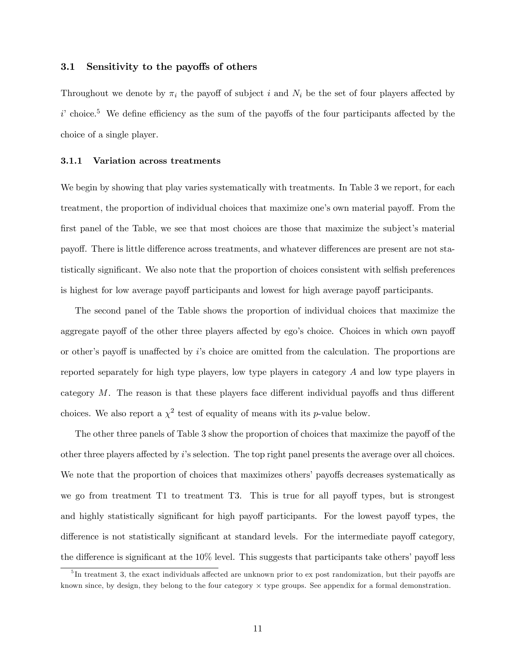### 3.1 Sensitivity to the payoffs of others

Throughout we denote by  $\pi_i$  the payoff of subject i and  $N_i$  be the set of four players affected by  $i'$  choice.<sup>5</sup> We define efficiency as the sum of the payoffs of the four participants affected by the choice of a single player.

#### 3.1.1 Variation across treatments

We begin by showing that play varies systematically with treatments. In Table 3 we report, for each treatment, the proportion of individual choices that maximize one's own material payoff. From the first panel of the Table, we see that most choices are those that maximize the subject's material payoff. There is little difference across treatments, and whatever differences are present are not statistically significant. We also note that the proportion of choices consistent with selfish preferences is highest for low average payoff participants and lowest for high average payoff participants.

The second panel of the Table shows the proportion of individual choices that maximize the aggregate payoff of the other three players affected by ego's choice. Choices in which own payoff or other's payoff is unaffected by  $i$ 's choice are omitted from the calculation. The proportions are reported separately for high type players, low type players in category A and low type players in category  $M$ . The reason is that these players face different individual payoffs and thus different choices. We also report a  $\chi^2$  test of equality of means with its *p*-value below.

The other three panels of Table 3 show the proportion of choices that maximize the payoff of the other three players affected by i's selection. The top right panel presents the average over all choices. We note that the proportion of choices that maximizes others' payoffs decreases systematically as we go from treatment T1 to treatment T3. This is true for all payoff types, but is strongest and highly statistically significant for high payoff participants. For the lowest payoff types, the difference is not statistically significant at standard levels. For the intermediate payoff category, the difference is significant at the  $10\%$  level. This suggests that participants take others' payoff less

 $5<sup>5</sup>$ In treatment 3, the exact individuals affected are unknown prior to ex post randomization, but their payoffs are known since, by design, they belong to the four category  $\times$  type groups. See appendix for a formal demonstration.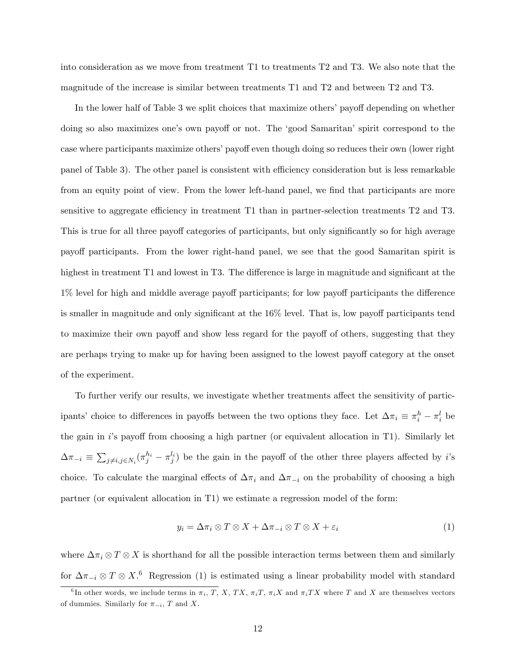into consideration as we move from treatment T1 to treatments T2 and T3. We also note that the magnitude of the increase is similar between treatments T1 and T2 and between T2 and T3.

In the lower half of Table 3 we split choices that maximize others' payoff depending on whether doing so also maximizes one's own payoff or not. The 'good Samaritan' spirit correspond to the case where participants maximize others' payoff even though doing so reduces their own (lower right) panel of Table 3). The other panel is consistent with efficiency consideration but is less remarkable from an equity point of view. From the lower left-hand panel, we find that participants are more sensitive to aggregate efficiency in treatment  $T1$  than in partner-selection treatments  $T2$  and  $T3$ . This is true for all three payoff categories of participants, but only significantly so for high average payo§ participants. From the lower right-hand panel, we see that the good Samaritan spirit is highest in treatment  $T1$  and lowest in T3. The difference is large in magnitude and significant at the  $1\%$  level for high and middle average payoff participants; for low payoff participants the difference is smaller in magnitude and only significant at the  $16\%$  level. That is, low payoff participants tend to maximize their own payoff and show less regard for the payoff of others, suggesting that they are perhaps trying to make up for having been assigned to the lowest payoff category at the onset of the experiment.

To further verify our results, we investigate whether treatments affect the sensitivity of participants' choice to differences in payoffs between the two options they face. Let  $\Delta \pi_i \equiv \pi_i^h - \pi_i^l$  be the gain in is payoff from choosing a high partner (or equivalent allocation in T1). Similarly let  $\Delta \pi_{-i} \equiv \sum_{j \neq i, j \in N_i} (\pi_j^{h_i} - \pi_j^{l_i})$  be the gain in the payoff of the other three players affected by *i*'s choice. To calculate the marginal effects of  $\Delta \pi_i$  and  $\Delta \pi_{-i}$  on the probability of choosing a high partner (or equivalent allocation in T1) we estimate a regression model of the form:

$$
y_i = \Delta \pi_i \otimes T \otimes X + \Delta \pi_{-i} \otimes T \otimes X + \varepsilon_i \tag{1}
$$

where  $\Delta \pi_i \otimes T \otimes X$  is shorthand for all the possible interaction terms between them and similarly for  $\Delta \pi_{-i} \otimes T \otimes X$ .<sup>6</sup> Regression (1) is estimated using a linear probability model with standard

<sup>&</sup>lt;sup>6</sup>In other words, we include terms in  $\pi_i$ , T, X, TX,  $\pi_i T$ ,  $\pi_i X$  and  $\pi_i TX$  where T and X are themselves vectors of dummies. Similarly for  $\pi_{-i}$ , T and X.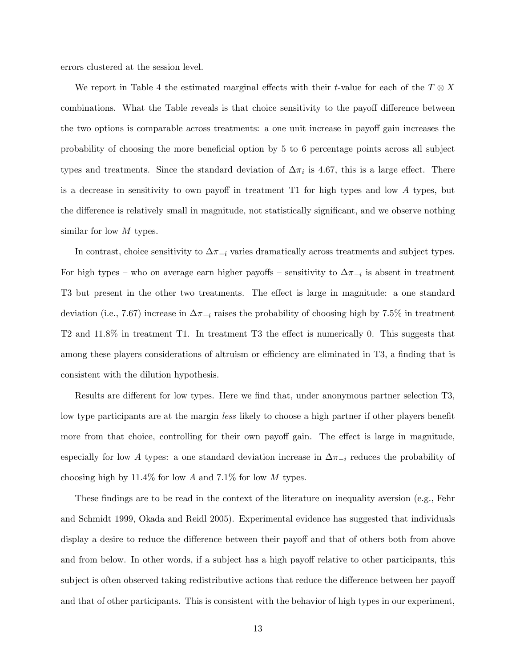errors clustered at the session level.

We report in Table 4 the estimated marginal effects with their *t*-value for each of the  $T \otimes X$ combinations. What the Table reveals is that choice sensitivity to the payoff difference between the two options is comparable across treatments: a one unit increase in payoff gain increases the probability of choosing the more beneficial option by 5 to 6 percentage points across all subject types and treatments. Since the standard deviation of  $\Delta \pi_i$  is 4.67, this is a large effect. There is a decrease in sensitivity to own payoff in treatment  $T1$  for high types and low A types, but the difference is relatively small in magnitude, not statistically significant, and we observe nothing similar for low M types.

In contrast, choice sensitivity to  $\Delta \pi_{-i}$  varies dramatically across treatments and subject types. For high types – who on average earn higher payoffs – sensitivity to  $\Delta \pi_{-i}$  is absent in treatment T3 but present in the other two treatments. The effect is large in magnitude: a one standard deviation (i.e., 7.67) increase in  $\Delta \pi_{-i}$  raises the probability of choosing high by 7.5% in treatment T2 and  $11.8\%$  in treatment T1. In treatment T3 the effect is numerically 0. This suggests that among these players considerations of altruism or efficiency are eliminated in T3, a finding that is consistent with the dilution hypothesis.

Results are different for low types. Here we find that, under anonymous partner selection T3, low type participants are at the margin less likely to choose a high partner if other players benefit more from that choice, controlling for their own payoff gain. The effect is large in magnitude, especially for low A types: a one standard deviation increase in  $\Delta \pi_{-i}$  reduces the probability of choosing high by  $11.4\%$  for low A and 7.1% for low M types.

These findings are to be read in the context of the literature on inequality aversion (e.g., Fehr and Schmidt 1999, Okada and Reidl 2005). Experimental evidence has suggested that individuals display a desire to reduce the difference between their payoff and that of others both from above and from below. In other words, if a subject has a high payoff relative to other participants, this subject is often observed taking redistributive actions that reduce the difference between her payoff and that of other participants. This is consistent with the behavior of high types in our experiment,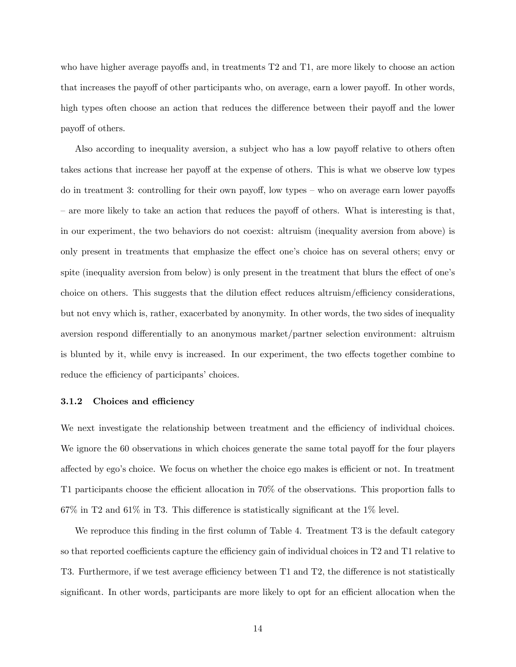who have higher average payoffs and, in treatments  $T2$  and  $T1$ , are more likely to choose an action that increases the payoff of other participants who, on average, earn a lower payoff. In other words, high types often choose an action that reduces the difference between their payoff and the lower payoff of others.

Also according to inequality aversion, a subject who has a low payoff relative to others often takes actions that increase her payoff at the expense of others. This is what we observe low types do in treatment 3: controlling for their own payoff, low types  $-$  who on average earn lower payoffs  $\alpha$  are more likely to take an action that reduces the payoff of others. What is interesting is that, in our experiment, the two behaviors do not coexist: altruism (inequality aversion from above) is only present in treatments that emphasize the effect one's choice has on several others; envy or spite (inequality aversion from below) is only present in the treatment that blurs the effect of one's choice on others. This suggests that the dilution effect reduces altruism/efficiency considerations, but not envy which is, rather, exacerbated by anonymity. In other words, the two sides of inequality aversion respond differentially to an anonymous market/partner selection environment: altruism is blunted by it, while envy is increased. In our experiment, the two effects together combine to reduce the efficiency of participants' choices.

#### 3.1.2 Choices and efficiency

We next investigate the relationship between treatment and the efficiency of individual choices. We ignore the 60 observations in which choices generate the same total payoff for the four players affected by ego's choice. We focus on whether the choice ego makes is efficient or not. In treatment T1 participants choose the efficient allocation in  $70\%$  of the observations. This proportion falls to  $67\%$  in T2 and  $61\%$  in T3. This difference is statistically significant at the 1% level.

We reproduce this finding in the first column of Table 4. Treatment T3 is the default category so that reported coefficients capture the efficiency gain of individual choices in T2 and T1 relative to T3. Furthermore, if we test average efficiency between T1 and T2, the difference is not statistically significant. In other words, participants are more likely to opt for an efficient allocation when the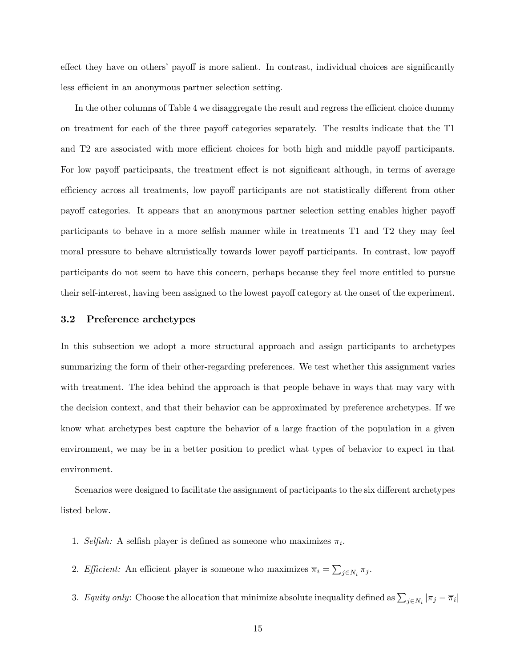effect they have on others' payoff is more salient. In contrast, individual choices are significantly less efficient in an anonymous partner selection setting.

In the other columns of Table 4 we disaggregate the result and regress the efficient choice dummy on treatment for each of the three payoff categories separately. The results indicate that the T1 and T2 are associated with more efficient choices for both high and middle payoff participants. For low payoff participants, the treatment effect is not significant although, in terms of average efficiency across all treatments, low payoff participants are not statistically different from other payoff categories. It appears that an anonymous partner selection setting enables higher payoff participants to behave in a more selfish manner while in treatments T1 and T2 they may feel moral pressure to behave altruistically towards lower payoff participants. In contrast, low payoff participants do not seem to have this concern, perhaps because they feel more entitled to pursue their self-interest, having been assigned to the lowest payoff category at the onset of the experiment.

### 3.2 Preference archetypes

In this subsection we adopt a more structural approach and assign participants to archetypes summarizing the form of their other-regarding preferences. We test whether this assignment varies with treatment. The idea behind the approach is that people behave in ways that may vary with the decision context, and that their behavior can be approximated by preference archetypes. If we know what archetypes best capture the behavior of a large fraction of the population in a given environment, we may be in a better position to predict what types of behavior to expect in that environment.

Scenarios were designed to facilitate the assignment of participants to the six different archetypes listed below.

- 1. Selfish: A selfish player is defined as someone who maximizes  $\pi_i$ .
- 2. Efficient: An efficient player is someone who maximizes  $\overline{\pi}_i = \sum_{j \in N_i} \pi_j$ .
- 3. Equity only: Choose the allocation that minimize absolute inequality defined as  $\sum_{j\in N_i} |\pi_j \overline{\pi}_i|$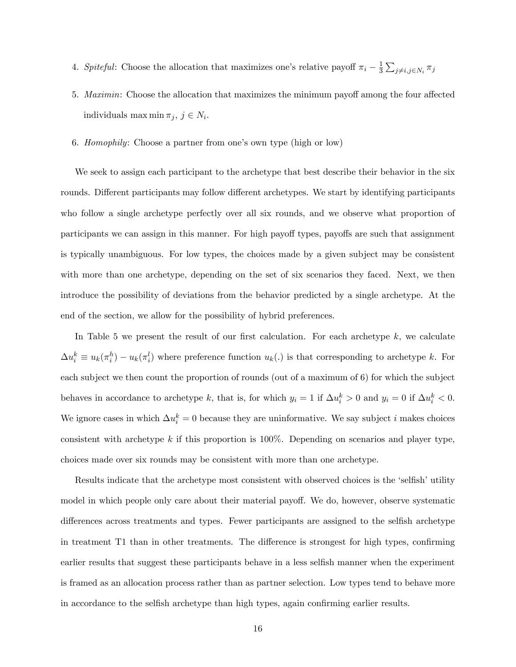- 4. Spiteful: Choose the allocation that maximizes one's relative payoff  $\pi_i \frac{1}{3}$  $\frac{1}{3}\sum_{j\neq i,j\in N_i}\pi_j$
- 5. *Maximin*: Choose the allocation that maximizes the minimum payoff among the four affected individuals max min  $\pi_j, j \in N_i$ .
- 6. Homophily: Choose a partner from one's own type (high or low)

We seek to assign each participant to the archetype that best describe their behavior in the six rounds. Different participants may follow different archetypes. We start by identifying participants who follow a single archetype perfectly over all six rounds, and we observe what proportion of participants we can assign in this manner. For high payoff types, payoffs are such that assignment is typically unambiguous. For low types, the choices made by a given subject may be consistent with more than one archetype, depending on the set of six scenarios they faced. Next, we then introduce the possibility of deviations from the behavior predicted by a single archetype. At the end of the section, we allow for the possibility of hybrid preferences.

In Table 5 we present the result of our first calculation. For each archetype  $k$ , we calculate  $\Delta u_i^k \equiv u_k(\pi_i^h) - u_k(\pi_i^l)$  where preference function  $u_k(.)$  is that corresponding to archetype k. For each subject we then count the proportion of rounds (out of a maximum of 6) for which the subject behaves in accordance to archetype k, that is, for which  $y_i = 1$  if  $\Delta u_i^k > 0$  and  $y_i = 0$  if  $\Delta u_i^k < 0$ . We ignore cases in which  $\Delta u_i^k = 0$  because they are uninformative. We say subject i makes choices consistent with archetype  $k$  if this proportion is 100%. Depending on scenarios and player type, choices made over six rounds may be consistent with more than one archetype.

Results indicate that the archetype most consistent with observed choices is the 'selfish' utility model in which people only care about their material payoff. We do, however, observe systematic differences across treatments and types. Fewer participants are assigned to the selfish archetype in treatment T1 than in other treatments. The difference is strongest for high types, confirming earlier results that suggest these participants behave in a less selfish manner when the experiment is framed as an allocation process rather than as partner selection. Low types tend to behave more in accordance to the selfish archetype than high types, again confirming earlier results.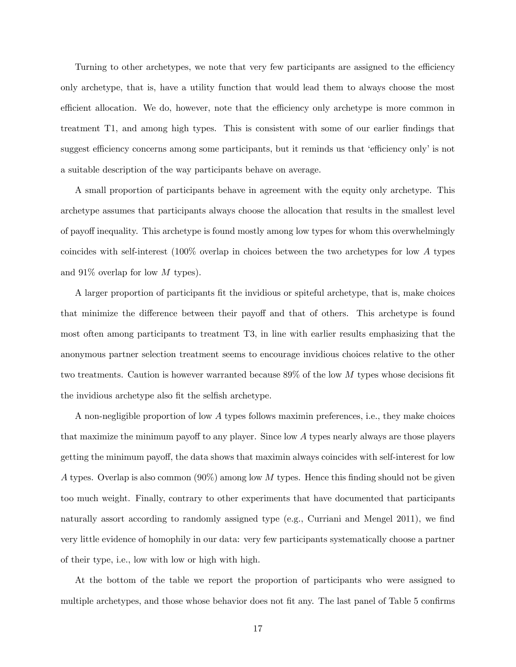Turning to other archetypes, we note that very few participants are assigned to the efficiency only archetype, that is, have a utility function that would lead them to always choose the most efficient allocation. We do, however, note that the efficiency only archetype is more common in treatment T1, and among high types. This is consistent with some of our earlier findings that suggest efficiency concerns among some participants, but it reminds us that 'efficiency only' is not a suitable description of the way participants behave on average.

A small proportion of participants behave in agreement with the equity only archetype. This archetype assumes that participants always choose the allocation that results in the smallest level of payoff inequality. This archetype is found mostly among low types for whom this overwhelmingly coincides with self-interest (100% overlap in choices between the two archetypes for low A types and  $91\%$  overlap for low M types).

A larger proportion of participants Öt the invidious or spiteful archetype, that is, make choices that minimize the difference between their payoff and that of others. This archetype is found most often among participants to treatment T3, in line with earlier results emphasizing that the anonymous partner selection treatment seems to encourage invidious choices relative to the other two treatments. Caution is however warranted because  $89\%$  of the low M types whose decisions fit the invidious archetype also fit the selfish archetype.

A non-negligible proportion of low A types follows maximin preferences, i.e., they make choices that maximize the minimum payoff to any player. Since low  $A$  types nearly always are those players getting the minimum payoff, the data shows that maximin always coincides with self-interest for low A types. Overlap is also common  $(90\%)$  among low M types. Hence this finding should not be given too much weight. Finally, contrary to other experiments that have documented that participants naturally assort according to randomly assigned type  $(e.g., Curriani)$  and Mengel 2011), we find very little evidence of homophily in our data: very few participants systematically choose a partner of their type, i.e., low with low or high with high.

At the bottom of the table we report the proportion of participants who were assigned to multiple archetypes, and those whose behavior does not fit any. The last panel of Table 5 confirms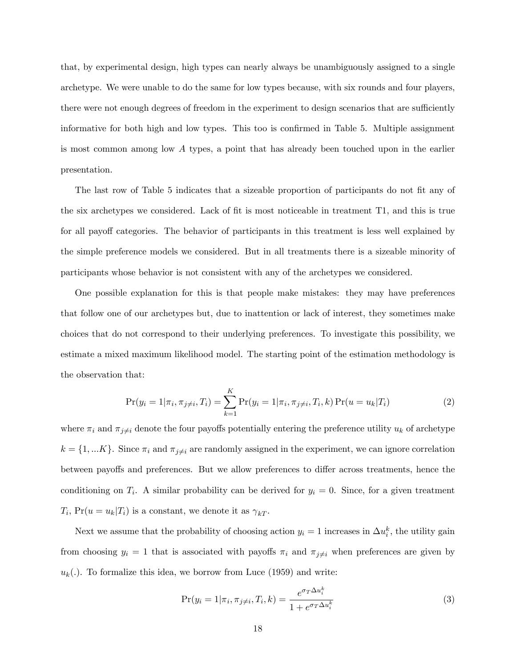that, by experimental design, high types can nearly always be unambiguously assigned to a single archetype. We were unable to do the same for low types because, with six rounds and four players, there were not enough degrees of freedom in the experiment to design scenarios that are sufficiently informative for both high and low types. This too is confirmed in Table 5. Multiple assignment is most common among low A types, a point that has already been touched upon in the earlier presentation.

The last row of Table 5 indicates that a sizeable proportion of participants do not fit any of the six archetypes we considered. Lack of fit is most noticeable in treatment T1, and this is true for all payoff categories. The behavior of participants in this treatment is less well explained by the simple preference models we considered. But in all treatments there is a sizeable minority of participants whose behavior is not consistent with any of the archetypes we considered.

One possible explanation for this is that people make mistakes: they may have preferences that follow one of our archetypes but, due to inattention or lack of interest, they sometimes make choices that do not correspond to their underlying preferences. To investigate this possibility, we estimate a mixed maximum likelihood model. The starting point of the estimation methodology is the observation that:

$$
Pr(y_i = 1 | \pi_i, \pi_{j \neq i}, T_i) = \sum_{k=1}^{K} Pr(y_i = 1 | \pi_i, \pi_{j \neq i}, T_i, k) Pr(u = u_k | T_i)
$$
(2)

where  $\pi_i$  and  $\pi_{j\neq i}$  denote the four payoffs potentially entering the preference utility  $u_k$  of archetype  $k = \{1, ..., K\}$ . Since  $\pi_i$  and  $\pi_{j\neq i}$  are randomly assigned in the experiment, we can ignore correlation between payoffs and preferences. But we allow preferences to differ across treatments, hence the conditioning on  $T_i$ . A similar probability can be derived for  $y_i = 0$ . Since, for a given treatment  $T_i$ ,  $Pr(u = u_k | T_i)$  is a constant, we denote it as  $\gamma_{kT}$ .

Next we assume that the probability of choosing action  $y_i = 1$  increases in  $\Delta u_i^k$ , the utility gain from choosing  $y_i = 1$  that is associated with payoffs  $\pi_i$  and  $\pi_{j\neq i}$  when preferences are given by  $u_k(.)$ . To formalize this idea, we borrow from Luce (1959) and write:

$$
\Pr(y_i = 1 | \pi_i, \pi_{j \neq i}, T_i, k) = \frac{e^{\sigma_T \Delta u_i^k}}{1 + e^{\sigma_T \Delta u_i^k}}
$$
(3)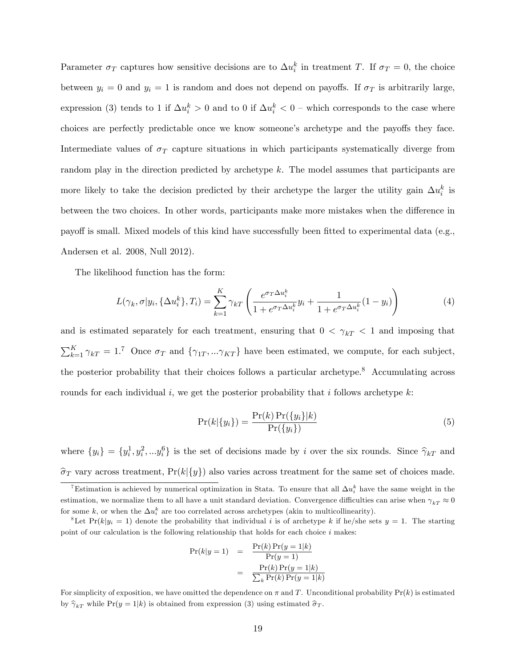Parameter  $\sigma_T$  captures how sensitive decisions are to  $\Delta u_i^k$  in treatment T. If  $\sigma_T = 0$ , the choice between  $y_i = 0$  and  $y_i = 1$  is random and does not depend on payoffs. If  $\sigma_T$  is arbitrarily large, expression (3) tends to 1 if  $\Delta u_i^k > 0$  and to 0 if  $\Delta u_i^k < 0$  – which corresponds to the case where choices are perfectly predictable once we know someone's archetype and the payoffs they face. Intermediate values of  $\sigma_T$  capture situations in which participants systematically diverge from random play in the direction predicted by archetype k. The model assumes that participants are more likely to take the decision predicted by their archetype the larger the utility gain  $\Delta u_i^k$  is between the two choices. In other words, participants make more mistakes when the difference in payoff is small. Mixed models of this kind have successfully been fitted to experimental data (e.g., Andersen et al. 2008, Null 2012).

The likelihood function has the form:

$$
L(\gamma_k, \sigma | y_i, \{\Delta u_i^k\}, T_i) = \sum_{k=1}^K \gamma_{kT} \left( \frac{e^{\sigma_T \Delta u_i^k}}{1 + e^{\sigma_T \Delta u_i^k}} y_i + \frac{1}{1 + e^{\sigma_T \Delta u_i^k}} (1 - y_i) \right)
$$
(4)

and is estimated separately for each treatment, ensuring that  $0 < \gamma_{kT} < 1$  and imposing that  $\sum_{k=1}^{K} \gamma_{k} = 1$ .<sup>7</sup> Once  $\sigma_T$  and  $\{\gamma_{1T},...\gamma_{KT}\}$  have been estimated, we compute, for each subject, the posterior probability that their choices follows a particular archetype.<sup>8</sup> Accumulating across rounds for each individual i, we get the posterior probability that i follows archetype  $k$ :

$$
Pr(k|\{y_i\}) = \frac{Pr(k)Pr(\{y_i\}|k)}{Pr(\{y_i\})}
$$
\n
$$
(5)
$$

where  $\{y_i\} = \{y_i^1, y_i^2, \ldots, y_i^6\}$  is the set of decisions made by i over the six rounds. Since  $\hat{\gamma}_{kT}$  and  $\hat{\sigma}_T$  vary across treatment, Pr(k|{y}) also varies across treatment for the same set of choices made.

$$
Pr(k|y=1) = \frac{Pr(k)Pr(y=1|k)}{Pr(y=1)}
$$

$$
= \frac{Pr(k)Pr(y=1|k)}{\sum_{k}Pr(k)Pr(y=1|k)}
$$

For simplicity of exposition, we have omitted the dependence on  $\pi$  and T. Unconditional probability  $Pr(k)$  is estimated by  $\hat{\gamma}_{kT}$  while Pr(y = 1|k) is obtained from expression (3) using estimated  $\hat{\sigma}_T$ .

<sup>&</sup>lt;sup>7</sup>Estimation is achieved by numerical optimization in Stata. To ensure that all  $\Delta u_i^k$  have the same weight in the estimation, we normalize them to all have a unit standard deviation. Convergence difficulties can arise when  $\gamma_{kT} \approx 0$ for some k, or when the  $\Delta u_i^k$  are too correlated across archetypes (akin to multicollinearity).

<sup>&</sup>lt;sup>8</sup>Let Pr(k| $y_i = 1$ ) denote the probability that individual i is of archetype k if he/she sets  $y = 1$ . The starting point of our calculation is the following relationship that holds for each choice  $i$  makes: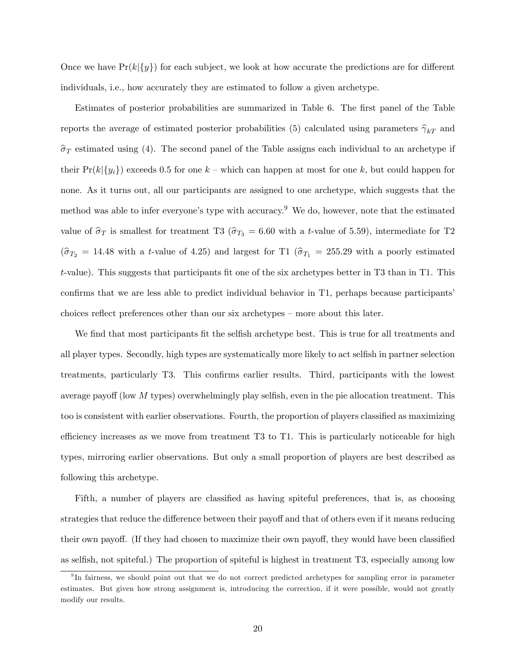Once we have  $Pr(k|y)$  for each subject, we look at how accurate the predictions are for different individuals, i.e., how accurately they are estimated to follow a given archetype.

Estimates of posterior probabilities are summarized in Table 6. The first panel of the Table reports the average of estimated posterior probabilities (5) calculated using parameters  $\hat{\gamma}_{kT}$  and  $\hat{\sigma}_T$  estimated using (4). The second panel of the Table assigns each individual to an archetype if their  $Pr(k|\{y_i\})$  exceeds 0.5 for one  $k$  – which can happen at most for one k, but could happen for none. As it turns out, all our participants are assigned to one archetype, which suggests that the method was able to infer everyone's type with accuracy.<sup>9</sup> We do, however, note that the estimated value of  $\hat{\sigma}_T$  is smallest for treatment T3 ( $\hat{\sigma}_{T_3} = 6.60$  with a t-value of 5.59), intermediate for T2  $(\hat{\sigma}_{T_2} = 14.48 \text{ with a } t\text{-value of } 4.25)$  and largest for T1  $(\hat{\sigma}_{T_1} = 255.29 \text{ with a poorly estimated})$ t-value). This suggests that participants fit one of the six archetypes better in T3 than in T1. This confirms that we are less able to predict individual behavior in  $T_1$ , perhaps because participants<sup>†</sup> choices reflect preferences other than our six archetypes – more about this later.

We find that most participants fit the selfish archetype best. This is true for all treatments and all player types. Secondly, high types are systematically more likely to act selfish in partner selection treatments, particularly T3. This confirms earlier results. Third, participants with the lowest average payoff (low  $M$  types) overwhelmingly play selfish, even in the pie allocation treatment. This too is consistent with earlier observations. Fourth, the proportion of players classified as maximizing efficiency increases as we move from treatment  $T3$  to  $T1$ . This is particularly noticeable for high types, mirroring earlier observations. But only a small proportion of players are best described as following this archetype.

Fifth, a number of players are classified as having spiteful preferences, that is, as choosing strategies that reduce the difference between their payoff and that of others even if it means reducing their own payoff. (If they had chosen to maximize their own payoff, they would have been classified as selfish, not spiteful.) The proportion of spiteful is highest in treatment T3, especially among low

<sup>&</sup>lt;sup>9</sup>In fairness, we should point out that we do not correct predicted archetypes for sampling error in parameter estimates. But given how strong assignment is, introducing the correction, if it were possible, would not greatly modify our results.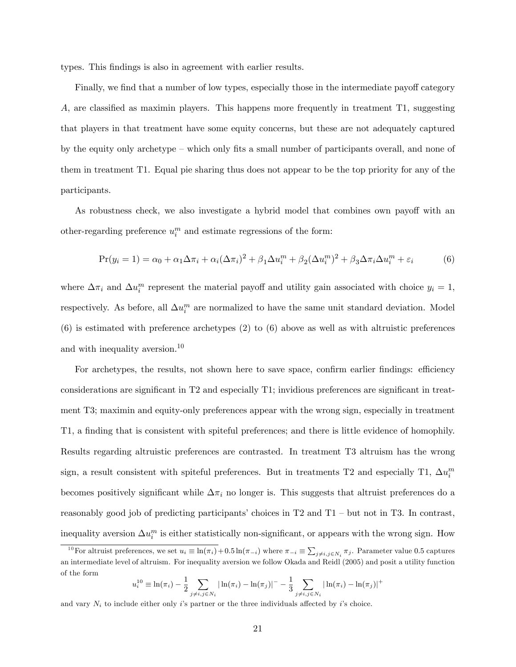types. This findings is also in agreement with earlier results.

Finally, we find that a number of low types, especially those in the intermediate payoff category A, are classified as maximin players. This happens more frequently in treatment  $T1$ , suggesting that players in that treatment have some equity concerns, but these are not adequately captured by the equity only archetype  $-\omega$  which only fits a small number of participants overall, and none of them in treatment T1. Equal pie sharing thus does not appear to be the top priority for any of the participants.

As robustness check, we also investigate a hybrid model that combines own payoff with an other-regarding preference  $u_i^m$  and estimate regressions of the form:

$$
Pr(y_i = 1) = \alpha_0 + \alpha_1 \Delta \pi_i + \alpha_i (\Delta \pi_i)^2 + \beta_1 \Delta u_i^m + \beta_2 (\Delta u_i^m)^2 + \beta_3 \Delta \pi_i \Delta u_i^m + \varepsilon_i
$$
(6)

where  $\Delta \pi_i$  and  $\Delta u_i^m$  represent the material payoff and utility gain associated with choice  $y_i = 1$ , respectively. As before, all  $\Delta u_i^m$  are normalized to have the same unit standard deviation. Model (6) is estimated with preference archetypes (2) to (6) above as well as with altruistic preferences and with inequality aversion.<sup>10</sup>

For archetypes, the results, not shown here to save space, confirm earlier findings: efficiency considerations are significant in  $T2$  and especially T1; invidious preferences are significant in treatment T3; maximin and equity-only preferences appear with the wrong sign, especially in treatment T1, a finding that is consistent with spiteful preferences; and there is little evidence of homophily. Results regarding altruistic preferences are contrasted. In treatment T3 altruism has the wrong sign, a result consistent with spiteful preferences. But in treatments T2 and especially T1,  $\Delta u_i^m$ becomes positively significant while  $\Delta \pi_i$  no longer is. This suggests that altruist preferences do a reasonably good job of predicting participants' choices in  $T2$  and  $T1$  – but not in T3. In contrast, inequality aversion  $\Delta u_i^m$  is either statistically non-significant, or appears with the wrong sign. How

$$
u_i^{10} \equiv \ln(\pi_i) - \frac{1}{2} \sum_{j \neq i, j \in N_i} |\ln(\pi_i) - \ln(\pi_j)|^- - \frac{1}{3} \sum_{j \neq i, j \in N_i} |\ln(\pi_i) - \ln(\pi_j)|^+
$$

<sup>&</sup>lt;sup>10</sup>For altruist preferences, we set  $u_i \equiv \ln(\pi_i) + 0.5 \ln(\pi_{-i})$  where  $\pi_{-i} \equiv \sum_{j \neq i, j \in N_i} \pi_j$ . Parameter value 0.5 captures an intermediate level of altruism. For inequality aversion we follow Okada and Reidl (2005) and posit a utility function of the form

and vary  $N_i$  to include either only is partner or the three individuals affected by is choice.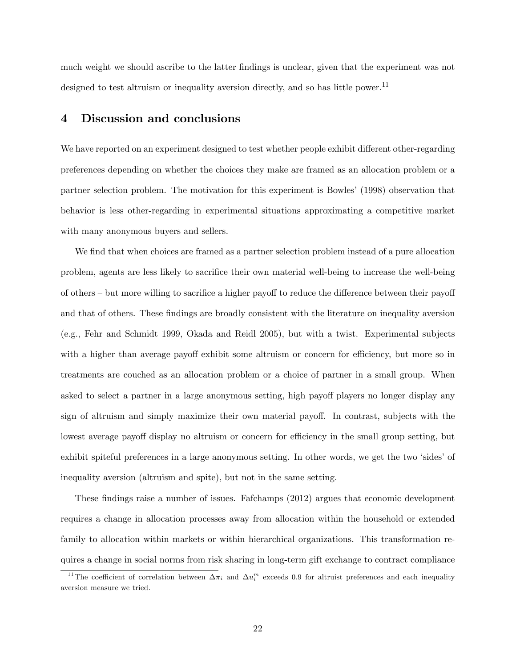much weight we should ascribe to the latter findings is unclear, given that the experiment was not designed to test altruism or inequality aversion directly, and so has little power.<sup>11</sup>

## 4 Discussion and conclusions

We have reported on an experiment designed to test whether people exhibit different other-regarding preferences depending on whether the choices they make are framed as an allocation problem or a partner selection problem. The motivation for this experiment is Bowles' (1998) observation that behavior is less other-regarding in experimental situations approximating a competitive market with many anonymous buyers and sellers.

We find that when choices are framed as a partner selection problem instead of a pure allocation problem, agents are less likely to sacrifice their own material well-being to increase the well-being of others  $\overline{\phantom{a}}$  but more willing to sacrifice a higher payoff to reduce the difference between their payoff and that of others. These findings are broadly consistent with the literature on inequality aversion (e.g., Fehr and Schmidt 1999, Okada and Reidl 2005), but with a twist. Experimental subjects with a higher than average payoff exhibit some altruism or concern for efficiency, but more so in treatments are couched as an allocation problem or a choice of partner in a small group. When asked to select a partner in a large anonymous setting, high payoff players no longer display any sign of altruism and simply maximize their own material payoff. In contrast, subjects with the lowest average payoff display no altruism or concern for efficiency in the small group setting, but exhibit spiteful preferences in a large anonymous setting. In other words, we get the two 'sides' of inequality aversion (altruism and spite), but not in the same setting.

These findings raise a number of issues. Fafchamps (2012) argues that economic development requires a change in allocation processes away from allocation within the household or extended family to allocation within markets or within hierarchical organizations. This transformation requires a change in social norms from risk sharing in long-term gift exchange to contract compliance

<sup>&</sup>lt;sup>11</sup>The coefficient of correlation between  $\Delta \pi_i$  and  $\Delta u_i^m$  exceeds 0.9 for altruist preferences and each inequality aversion measure we tried.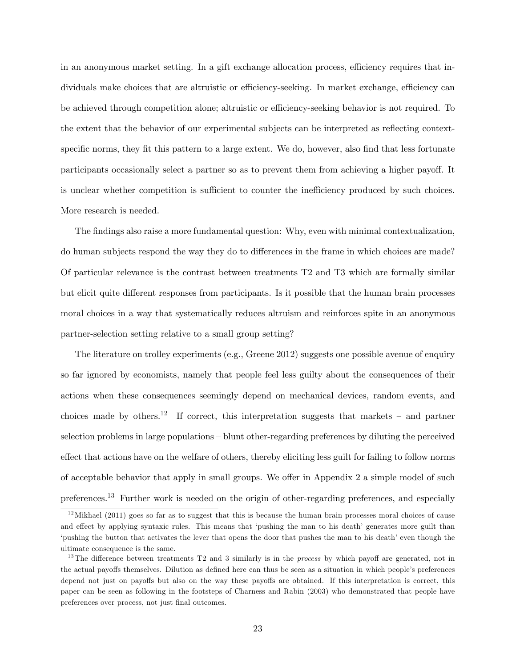in an anonymous market setting. In a gift exchange allocation process, efficiency requires that individuals make choices that are altruistic or efficiency-seeking. In market exchange, efficiency can be achieved through competition alone; altruistic or efficiency-seeking behavior is not required. To the extent that the behavior of our experimental subjects can be interpreted as reflecting contextspecific norms, they fit this pattern to a large extent. We do, however, also find that less fortunate participants occasionally select a partner so as to prevent them from achieving a higher payoff. It is unclear whether competition is sufficient to counter the inefficiency produced by such choices. More research is needed.

The findings also raise a more fundamental question: Why, even with minimal contextualization, do human subjects respond the way they do to differences in the frame in which choices are made? Of particular relevance is the contrast between treatments T2 and T3 which are formally similar but elicit quite different responses from participants. Is it possible that the human brain processes moral choices in a way that systematically reduces altruism and reinforces spite in an anonymous partner-selection setting relative to a small group setting?

The literature on trolley experiments (e.g., Greene 2012) suggests one possible avenue of enquiry so far ignored by economists, namely that people feel less guilty about the consequences of their actions when these consequences seemingly depend on mechanical devices, random events, and choices made by others.<sup>12</sup> If correct, this interpretation suggests that markets – and partner selection problems in large populations – blunt other-regarding preferences by diluting the perceived effect that actions have on the welfare of others, thereby eliciting less guilt for failing to follow norms of acceptable behavior that apply in small groups. We offer in Appendix  $2$  a simple model of such preferences.<sup>13</sup> Further work is needed on the origin of other-regarding preferences, and especially

 $12$ Mikhael (2011) goes so far as to suggest that this is because the human brain processes moral choices of cause and effect by applying syntaxic rules. This means that 'pushing the man to his death' generates more guilt than 'pushing the button that activates the lever that opens the door that pushes the man to his death' even though the ultimate consequence is the same.

<sup>&</sup>lt;sup>13</sup>The difference between treatments T2 and 3 similarly is in the *process* by which payoff are generated, not in the actual payoffs themselves. Dilution as defined here can thus be seen as a situation in which people's preferences depend not just on payoffs but also on the way these payoffs are obtained. If this interpretation is correct, this paper can be seen as following in the footsteps of Charness and Rabin (2003) who demonstrated that people have preferences over process, not just Önal outcomes.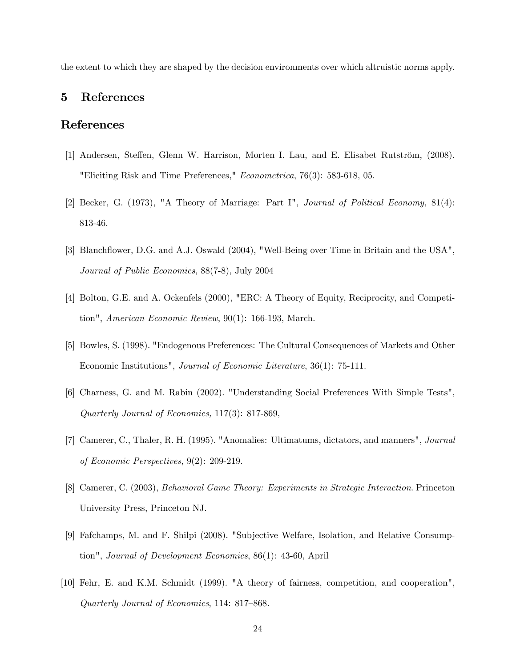the extent to which they are shaped by the decision environments over which altruistic norms apply.

# 5 References

# References

- [1] Andersen, Steffen, Glenn W. Harrison, Morten I. Lau, and E. Elisabet Rutström, (2008). "Eliciting Risk and Time Preferences," Econometrica, 76(3): 583-618, 05.
- [2] Becker, G. (1973), "A Theory of Marriage: Part I", Journal of Political Economy, 81(4): 813-46.
- [3] Blanchflower, D.G. and A.J. Oswald (2004), "Well-Being over Time in Britain and the USA", Journal of Public Economics, 88(7-8), July 2004
- [4] Bolton, G.E. and A. Ockenfels (2000), "ERC: A Theory of Equity, Reciprocity, and Competition", American Economic Review, 90(1): 166-193, March.
- [5] Bowles, S. (1998). "Endogenous Preferences: The Cultural Consequences of Markets and Other Economic Institutions", Journal of Economic Literature, 36(1): 75-111.
- [6] Charness, G. and M. Rabin (2002). "Understanding Social Preferences With Simple Tests", Quarterly Journal of Economics, 117(3): 817-869,
- [7] Camerer, C., Thaler, R. H. (1995). "Anomalies: Ultimatums, dictators, and manners", Journal of Economic Perspectives, 9(2): 209-219.
- [8] Camerer, C. (2003), Behavioral Game Theory: Experiments in Strategic Interaction. Princeton University Press, Princeton NJ.
- [9] Fafchamps, M. and F. Shilpi (2008). "Subjective Welfare, Isolation, and Relative Consumption", Journal of Development Economics, 86(1): 43-60, April
- [10] Fehr, E. and K.M. Schmidt (1999). "A theory of fairness, competition, and cooperation", Quarterly Journal of Economics, 114: 817–868.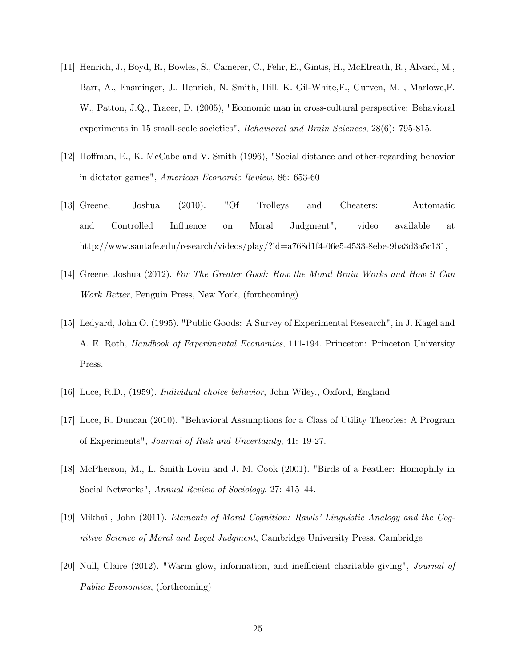- [11] Henrich, J., Boyd, R., Bowles, S., Camerer, C., Fehr, E., Gintis, H., McElreath, R., Alvard, M., Barr, A., Ensminger, J., Henrich, N. Smith, Hill, K. Gil-White,F., Gurven, M. , Marlowe,F. W., Patton, J.Q., Tracer, D. (2005), "Economic man in cross-cultural perspective: Behavioral experiments in 15 small-scale societies", Behavioral and Brain Sciences, 28(6): 795-815.
- [12] Hoffman, E., K. McCabe and V. Smith (1996), "Social distance and other-regarding behavior in dictator games", American Economic Review, 86: 653-60
- [13] Greene, Joshua (2010). "Of Trolleys and Cheaters: Automatic and Controlled Ináuence on Moral Judgment", video available at http://www.santafe.edu/research/videos/play/?id=a768d1f4-06e5-4533-8ebe-9ba3d3a5c131,
- [14] Greene, Joshua (2012). For The Greater Good: How the Moral Brain Works and How it Can Work Better, Penguin Press, New York, (forthcoming)
- [15] Ledyard, John O. (1995). "Public Goods: A Survey of Experimental Research", in J. Kagel and A. E. Roth, Handbook of Experimental Economics, 111-194. Princeton: Princeton University Press.
- [16] Luce, R.D., (1959). Individual choice behavior, John Wiley., Oxford, England
- [17] Luce, R. Duncan (2010). "Behavioral Assumptions for a Class of Utility Theories: A Program of Experiments", Journal of Risk and Uncertainty, 41: 19-27.
- [18] McPherson, M., L. Smith-Lovin and J. M. Cook (2001). "Birds of a Feather: Homophily in Social Networks", Annual Review of Sociology, 27: 415–44.
- [19] Mikhail, John (2011). Elements of Moral Cognition: Rawlsí Linguistic Analogy and the Cognitive Science of Moral and Legal Judgment, Cambridge University Press, Cambridge
- [20] Null, Claire (2012). "Warm glow, information, and inefficient charitable giving", *Journal of* Public Economics, (forthcoming)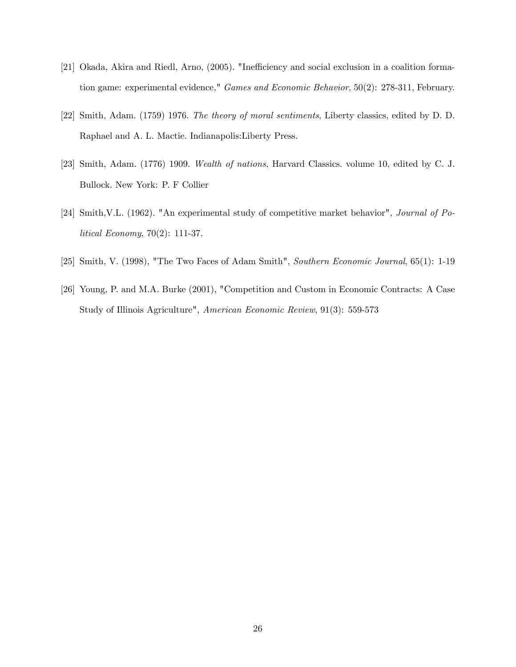- [21] Okada, Akira and Riedl, Arno, (2005). "Inefficiency and social exclusion in a coalition formation game: experimental evidence," Games and Economic Behavior, 50(2): 278-311, February.
- [22] Smith, Adam. (1759) 1976. The theory of moral sentiments, Liberty classics, edited by D. D. Raphael and A. L. Mactie. Indianapolis:Liberty Press.
- [23] Smith, Adam. (1776) 1909. Wealth of nations, Harvard Classics. volume 10, edited by C. J. Bullock. New York: P. F Collier
- [24] Smith,V.L. (1962). "An experimental study of competitive market behavior", Journal of Political Economy, 70(2): 111-37.
- [25] Smith, V. (1998), "The Two Faces of Adam Smith", Southern Economic Journal, 65(1): 1-19
- [26] Young, P. and M.A. Burke (2001), "Competition and Custom in Economic Contracts: A Case Study of Illinois Agriculture", American Economic Review, 91(3): 559-573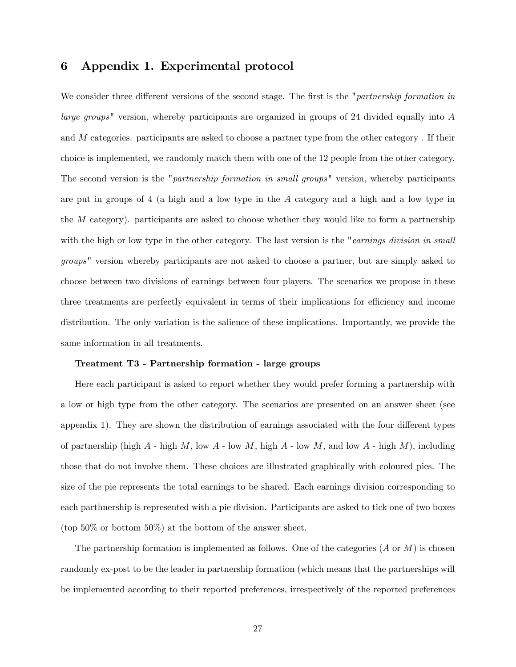## 6 Appendix 1. Experimental protocol

We consider three different versions of the second stage. The first is the "partnership formation in large groups" version, whereby participants are organized in groups of 24 divided equally into A and M categories. participants are asked to choose a partner type from the other category . If their choice is implemented, we randomly match them with one of the 12 people from the other category. The second version is the "*partnership formation in small groups*" version, whereby participants are put in groups of 4 (a high and a low type in the A category and a high and a low type in the  $M$  category). participants are asked to choose whether they would like to form a partnership with the high or low type in the other category. The last version is the "earnings division in small groups" version whereby participants are not asked to choose a partner, but are simply asked to choose between two divisions of earnings between four players. The scenarios we propose in these three treatments are perfectly equivalent in terms of their implications for efficiency and income distribution. The only variation is the salience of these implications. Importantly, we provide the same information in all treatments.

#### Treatment T3 - Partnership formation - large groups

Here each participant is asked to report whether they would prefer forming a partnership with a low or high type from the other category. The scenarios are presented on an answer sheet (see appendix 1). They are shown the distribution of earnings associated with the four different types of partnership (high  $A$  - high  $M$ , low  $A$  - low  $M$ , high  $A$  - low  $M$ , and low  $A$  - high  $M$ ), including those that do not involve them. These choices are illustrated graphically with coloured pies. The size of the pie represents the total earnings to be shared. Each earnings division corresponding to each parthnership is represented with a pie division. Participants are asked to tick one of two boxes (top 50% or bottom 50%) at the bottom of the answer sheet.

The partnership formation is implemented as follows. One of the categories  $(A \text{ or } M)$  is chosen randomly ex-post to be the leader in partnership formation (which means that the partnerships will be implemented according to their reported preferences, irrespectively of the reported preferences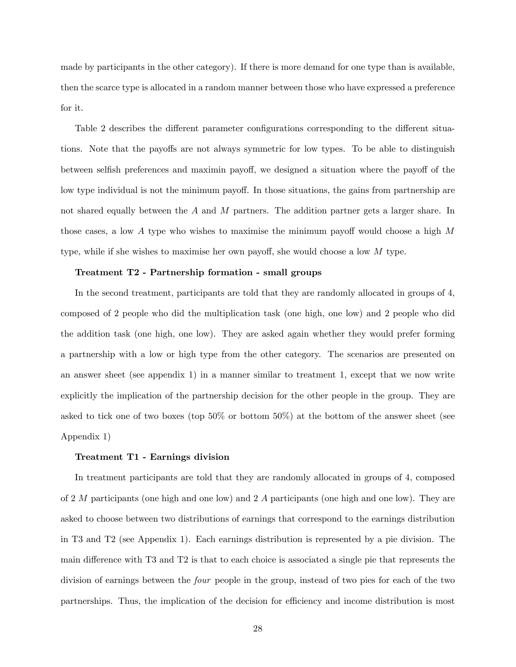made by participants in the other category). If there is more demand for one type than is available, then the scarce type is allocated in a random manner between those who have expressed a preference for it.

Table 2 describes the different parameter configurations corresponding to the different situations. Note that the payoffs are not always symmetric for low types. To be able to distinguish between selfish preferences and maximin payoff, we designed a situation where the payoff of the low type individual is not the minimum payoff. In those situations, the gains from partnership are not shared equally between the A and M partners. The addition partner gets a larger share. In those cases, a low  $A$  type who wishes to maximise the minimum payoff would choose a high  $M$ type, while if she wishes to maximise her own payoff, she would choose a low  $M$  type.

### Treatment T2 - Partnership formation - small groups

In the second treatment, participants are told that they are randomly allocated in groups of 4, composed of 2 people who did the multiplication task (one high, one low) and 2 people who did the addition task (one high, one low). They are asked again whether they would prefer forming a partnership with a low or high type from the other category. The scenarios are presented on an answer sheet (see appendix 1) in a manner similar to treatment 1, except that we now write explicitly the implication of the partnership decision for the other people in the group. They are asked to tick one of two boxes (top 50% or bottom 50%) at the bottom of the answer sheet (see Appendix 1)

#### Treatment T1 - Earnings division

In treatment participants are told that they are randomly allocated in groups of 4, composed of 2  $M$  participants (one high and one low) and 2  $A$  participants (one high and one low). They are asked to choose between two distributions of earnings that correspond to the earnings distribution in T3 and T2 (see Appendix 1). Each earnings distribution is represented by a pie division. The main difference with T3 and T2 is that to each choice is associated a single pie that represents the division of earnings between the four people in the group, instead of two pies for each of the two partnerships. Thus, the implication of the decision for efficiency and income distribution is most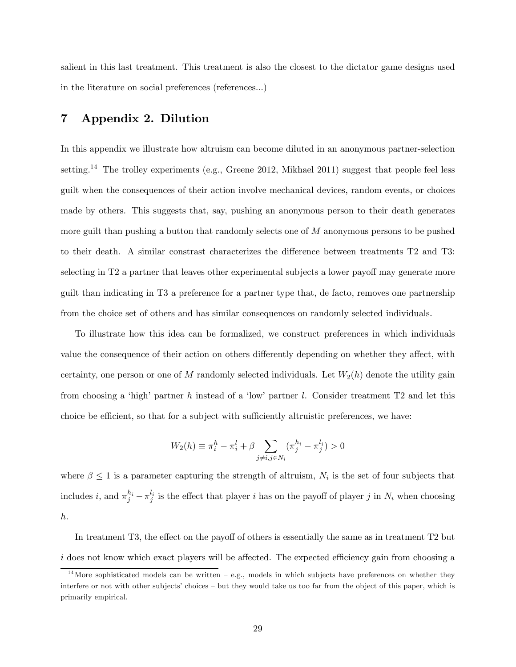salient in this last treatment. This treatment is also the closest to the dictator game designs used in the literature on social preferences (references...)

# 7 Appendix 2. Dilution

In this appendix we illustrate how altruism can become diluted in an anonymous partner-selection setting.<sup>14</sup> The trolley experiments (e.g., Greene 2012, Mikhael 2011) suggest that people feel less guilt when the consequences of their action involve mechanical devices, random events, or choices made by others. This suggests that, say, pushing an anonymous person to their death generates more guilt than pushing a button that randomly selects one of M anonymous persons to be pushed to their death. A similar constrast characterizes the difference between treatments T2 and T3: selecting in T2 a partner that leaves other experimental subjects a lower payoff may generate more guilt than indicating in T3 a preference for a partner type that, de facto, removes one partnership from the choice set of others and has similar consequences on randomly selected individuals.

To illustrate how this idea can be formalized, we construct preferences in which individuals value the consequence of their action on others differently depending on whether they affect, with certainty, one person or one of M randomly selected individuals. Let  $W_2(h)$  denote the utility gain from choosing a 'high' partner h instead of a 'low' partner l. Consider treatment  $T2$  and let this choice be efficient, so that for a subject with sufficiently altruistic preferences, we have:

$$
W_2(h) \equiv \pi_i^h - \pi_i^l + \beta \sum_{j \neq i, j \in N_i} (\pi_j^{h_i} - \pi_j^{l_i}) > 0
$$

where  $\beta \leq 1$  is a parameter capturing the strength of altruism,  $N_i$  is the set of four subjects that includes i, and  $\pi_j^{h_i} - \pi_j^{l_i}$  is the effect that player i has on the payoff of player j in  $N_i$  when choosing h.

In treatment  $T3$ , the effect on the payoff of others is essentially the same as in treatment  $T2$  but  $i$  does not know which exact players will be affected. The expected efficiency gain from choosing a

<sup>&</sup>lt;sup>14</sup>More sophisticated models can be written  $-$  e.g., models in which subjects have preferences on whether they interfere or not with other subjects' choices – but they would take us too far from the object of this paper, which is primarily empirical.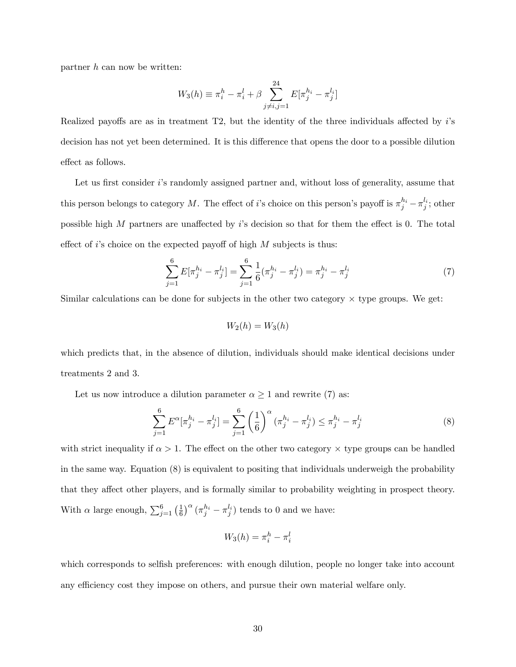partner h can now be written:

$$
W_3(h) \equiv \pi_i^h - \pi_i^l + \beta \sum_{j \neq i,j=1}^{24} E[\pi_j^{h_i} - \pi_j^{l_i}]
$$

Realized payoffs are as in treatment  $T2$ , but the identity of the three individuals affected by  $i$ 's decision has not yet been determined. It is this difference that opens the door to a possible dilution effect as follows.

Let us first consider  $i$ 's randomly assigned partner and, without loss of generality, assume that this person belongs to category M. The effect of *i*'s choice on this person's payoff is  $\pi_j^{h_i} - \pi_j^{l_i}$ ; other possible high  $M$  partners are unaffected by i's decision so that for them the effect is 0. The total effect of i's choice on the expected payoff of high  $M$  subjects is thus:

$$
\sum_{j=1}^{6} E[\pi_j^{h_i} - \pi_j^{l_i}] = \sum_{j=1}^{6} \frac{1}{6} (\pi_j^{h_i} - \pi_j^{l_i}) = \pi_j^{h_i} - \pi_j^{l_i}
$$
 (7)

Similar calculations can be done for subjects in the other two category  $\times$  type groups. We get:

$$
W_2(h) = W_3(h)
$$

which predicts that, in the absence of dilution, individuals should make identical decisions under treatments 2 and 3.

Let us now introduce a dilution parameter  $\alpha \geq 1$  and rewrite (7) as:

$$
\sum_{j=1}^{6} E^{\alpha} [\pi_j^{h_i} - \pi_j^{l_i}] = \sum_{j=1}^{6} \left(\frac{1}{6}\right)^{\alpha} (\pi_j^{h_i} - \pi_j^{l_i}) \leq \pi_j^{h_i} - \pi_j^{l_i}
$$
\n(8)

with strict inequality if  $\alpha > 1$ . The effect on the other two category  $\times$  type groups can be handled in the same way. Equation (8) is equivalent to positing that individuals underweigh the probability that they affect other players, and is formally similar to probability weighting in prospect theory. With  $\alpha$  large enough,  $\sum_{j=1}^{6} \left(\frac{1}{6}\right)$  $\frac{1}{6}$ )<sup> $\alpha$ </sup> ( $\pi_j^{h_i} - \pi_j^{l_i}$ ) tends to 0 and we have:

$$
W_3(h) = \pi_i^h - \pi_i^l
$$

which corresponds to selfish preferences: with enough dilution, people no longer take into account any efficiency cost they impose on others, and pursue their own material welfare only.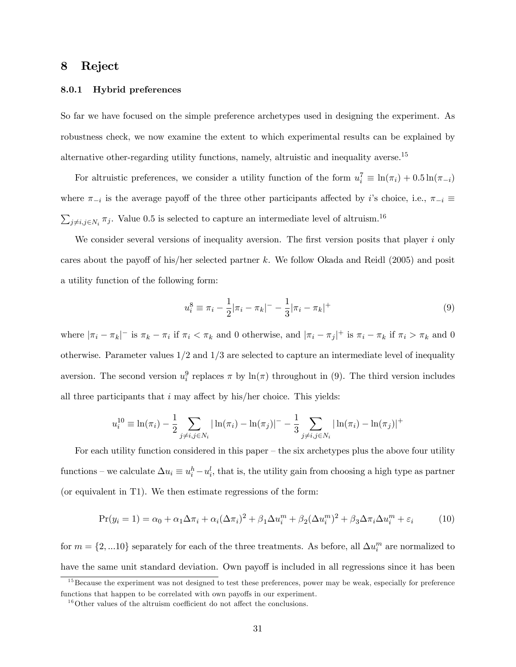# 8 Reject

### 8.0.1 Hybrid preferences

So far we have focused on the simple preference archetypes used in designing the experiment. As robustness check, we now examine the extent to which experimental results can be explained by alternative other-regarding utility functions, namely, altruistic and inequality averse.<sup>15</sup>

For altruistic preferences, we consider a utility function of the form  $u_i^7 \equiv \ln(\pi_i) + 0.5 \ln(\pi_{-i})$ where  $\pi_{-i}$  is the average payoff of the three other participants affected by *i*'s choice, i.e.,  $\pi_{-i} \equiv$  $\sum_{j\neq i,j\in N_i}\pi_j$ . Value 0.5 is selected to capture an intermediate level of altruism.<sup>16</sup>

We consider several versions of inequality aversion. The first version posits that player  $i$  only cares about the payoff of his/her selected partner k. We follow Okada and Reidl  $(2005)$  and posit a utility function of the following form:

$$
u_i^8 \equiv \pi_i - \frac{1}{2} |\pi_i - \pi_k|^- - \frac{1}{3} |\pi_i - \pi_k|^+
$$
\n(9)

where  $|\pi_i - \pi_k|$ <sup>-</sup> is  $\pi_k - \pi_i$  if  $\pi_i < \pi_k$  and 0 otherwise, and  $|\pi_i - \pi_j|$ <sup>+</sup> is  $\pi_i - \pi_k$  if  $\pi_i > \pi_k$  and 0 otherwise. Parameter values  $1/2$  and  $1/3$  are selected to capture an intermediate level of inequality aversion. The second version  $u_i^9$  replaces  $\pi$  by  $\ln(\pi)$  throughout in (9). The third version includes all three participants that  $i$  may affect by his/her choice. This yields:

$$
u_i^{10} \equiv \ln(\pi_i) - \frac{1}{2} \sum_{j \neq i, j \in N_i} |\ln(\pi_i) - \ln(\pi_j)|^- - \frac{1}{3} \sum_{j \neq i, j \in N_i} |\ln(\pi_i) - \ln(\pi_j)|^+
$$

For each utility function considered in this paper  $-\theta$  the six archetypes plus the above four utility functions – we calculate  $\Delta u_i \equiv u_i^h - u_i^l$ , that is, the utility gain from choosing a high type as partner (or equivalent in T1). We then estimate regressions of the form:

$$
Pr(y_i = 1) = \alpha_0 + \alpha_1 \Delta \pi_i + \alpha_i (\Delta \pi_i)^2 + \beta_1 \Delta u_i^m + \beta_2 (\Delta u_i^m)^2 + \beta_3 \Delta \pi_i \Delta u_i^m + \varepsilon_i \tag{10}
$$

for  $m = \{2,...10\}$  separately for each of the three treatments. As before, all  $\Delta u_i^m$  are normalized to have the same unit standard deviation. Own payoff is included in all regressions since it has been

 $15$ Because the experiment was not designed to test these preferences, power may be weak, especially for preference functions that happen to be correlated with own payoffs in our experiment.

 $^{16}\rm{O}$  values of the altruism coefficient do not affect the conclusions.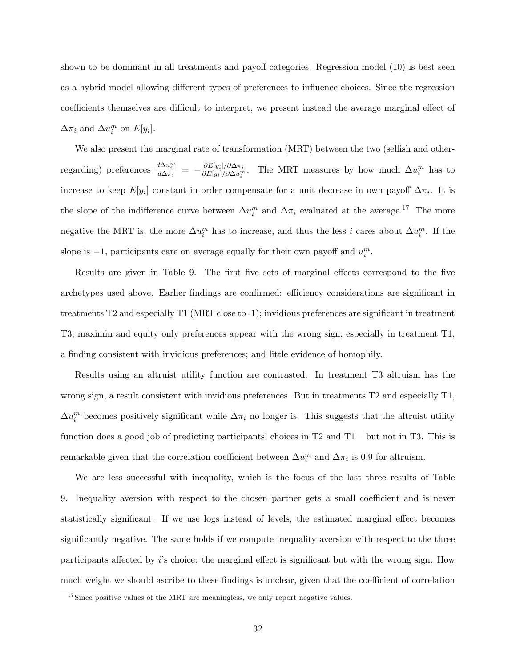shown to be dominant in all treatments and payoff categories. Regression model  $(10)$  is best seen as a hybrid model allowing different types of preferences to influence choices. Since the regression coefficients themselves are difficult to interpret, we present instead the average marginal effect of  $\Delta \pi_i$  and  $\Delta u_i^m$  on  $E[y_i]$ .

We also present the marginal rate of transformation (MRT) between the two (selfish and otherregarding) preferences  $\frac{d\Delta u_i^m}{d\Delta \pi_i} = -\frac{\partial E[y_i]/\partial \Delta \pi_i}{\partial E[y_i]/\partial \Delta u_i^m}$  $\frac{\partial E[y_i]/\partial \Delta \pi_i}{\partial E[y_i]/\partial \Delta u_i^m}$ . The MRT measures by how much  $\Delta u_i^m$  has to increase to keep  $E[y_i]$  constant in order compensate for a unit decrease in own payoff  $\Delta \pi_i$ . It is the slope of the indifference curve between  $\Delta u_i^m$  and  $\Delta \pi_i$  evaluated at the average.<sup>17</sup> The more negative the MRT is, the more  $\Delta u_i^m$  has to increase, and thus the less i cares about  $\Delta u_i^m$ . If the slope is  $-1$ , participants care on average equally for their own payoff and  $u_i^m$ .

Results are given in Table 9. The first five sets of marginal effects correspond to the five archetypes used above. Earlier findings are confirmed: efficiency considerations are significant in treatments T2 and especially T1 (MRT close to -1); invidious preferences are significant in treatment T3; maximin and equity only preferences appear with the wrong sign, especially in treatment T1, a finding consistent with invidious preferences; and little evidence of homophily.

Results using an altruist utility function are contrasted. In treatment T3 altruism has the wrong sign, a result consistent with invidious preferences. But in treatments T2 and especially T1,  $\Delta u_i^m$  becomes positively significant while  $\Delta \pi_i$  no longer is. This suggests that the altruist utility function does a good job of predicting participants' choices in  $T2$  and  $T1$  – but not in T3. This is remarkable given that the correlation coefficient between  $\Delta u_i^m$  and  $\Delta \pi_i$  is 0.9 for altruism.

We are less successful with inequality, which is the focus of the last three results of Table 9. Inequality aversion with respect to the chosen partner gets a small coefficient and is never statistically significant. If we use logs instead of levels, the estimated marginal effect becomes significantly negative. The same holds if we compute inequality aversion with respect to the three participants affected by  $i$ 's choice: the marginal effect is significant but with the wrong sign. How much weight we should ascribe to these findings is unclear, given that the coefficient of correlation

<sup>&</sup>lt;sup>17</sup>Since positive values of the MRT are meaningless, we only report negative values.